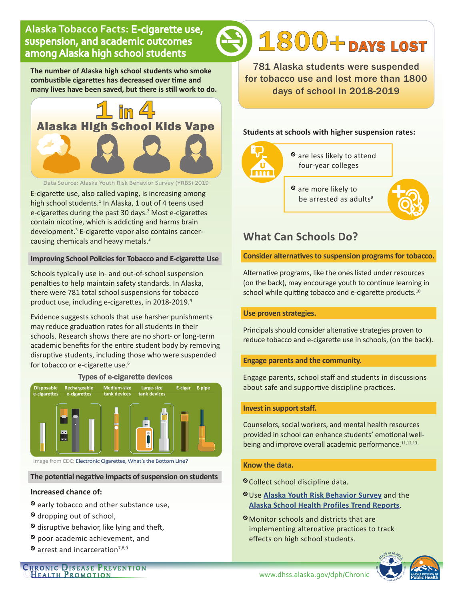# **Alaska Tobacco Facts:** E-cigarette use, suspension, and academic outcomes among Alaska high school students

**The number of Alaska high school students who smoke combustible cigarettes has decreased over time and many lives have been saved, but there is still work to do.**



Data Source: Alaska Youth Risk Behavior Survey (YRBS) 2019

E-cigarette use, also called vaping, is increasing among high school students.<sup>1</sup> In Alaska, 1 out of 4 teens used e-cigarettes during the past 30 days.<sup>2</sup> Most e-cigarettes contain nicotine, which is addicting and harms brain development.<sup>3</sup> E-cigarette vapor also contains cancercausing chemicals and heavy metals.3

#### **Improving School Policies for Tobacco and E-cigarette Use**

Schools typically use in- and out-of-school suspension penalties to help maintain safety standards. In Alaska, there were 781 total school suspensions for tobacco product use, including e-cigarettes, in 2018-2019.<sup>4</sup>

Evidence suggests schools that use harsher punishments may reduce graduation rates for all students in their schools. Research shows there are no short- or long-term academic benefits for the entire student body by removing disruptive students, including those who were suspended for tobacco or e-cigarette use.<sup>6</sup>

#### Types of e-cigarette devices

| <b>Disposable</b><br>e-cigarettes | Rechargeable<br>e-cigarettes | <b>Medium-size</b><br>tank devices | Large-size<br>tank devices | E-cigar | E-pipe |
|-----------------------------------|------------------------------|------------------------------------|----------------------------|---------|--------|
|                                   |                              |                                    |                            |         |        |
|                                   |                              |                                    |                            |         |        |
|                                   |                              |                                    |                            |         |        |

Image from CDC: [Electronic Cigarettes, What's the Bottom Line?](https://www.cdc.gov/tobacco/basic_information/e-cigarettes/pdfs/Electronic-Cigarettes-Infographic-508.pdf)

#### **The potential negative impacts of suspension on students**

#### **Increased chance of:**

- <sup>o</sup> early tobacco and other substance use,
- <sup>⦸</sup> dropping out of school,
- $\circ$  disruptive behavior, like lying and theft,
- <sup>⦸</sup> poor academic achievement, and
- $\otimes$  arrest and incarceration<sup>7,8,9</sup>

Chronic Disease Prevention<br>Chealth Promotion

781 Alaska students were suspended for tobacco use and lost more than 1800 days of school in 2018-2019

1800+ DAYS LOST

#### **Students at schools with higher suspension rates:**



- <sup>⦸</sup> are less likely to attend four-year colleges
- <sup>⦸</sup> are more likely to be arrested as adults<sup>9</sup>



# **What Can Schools Do?**

#### **Consider alternatives to suspension programs for tobacco.**

Alternative programs, like the ones listed under resources (on the back), may encourage youth to continue learning in school while quitting tobacco and e-cigarette products.<sup>10</sup>

#### **Use proven strategies.**

Principals should consider alternative strategies proven to reduce tobacco and e-cigarette use in schools, (on the back).

#### **Engage parents and the community.**

Engage parents, school staff and students in discussions about safe and supportive discipline practices.

#### **Invest in support staff.**

Counselors, social workers, and mental health resources provided in school can enhance students' emotional wellbeing and improve overall academic performance.<sup>11,12,13</sup>

#### **Know the data.**

- <sup>⦸</sup>Collect school discipline data.
- <sup>⦸</sup>Use **[Alaska Youth Risk Behavior Survey](https://dhss.alaska.gov/dph/chronic/pages/yrbs/default.aspx)** and the **[Alaska School Health Profiles Trend Reports](https://dhss.alaska.gov/dph/Chronic/Pages/SchoolHealth/profiles.aspx)**.
- <sup>⦸</sup>Monitor schools and districts that are implementing alternative practices to track effects on high school students.